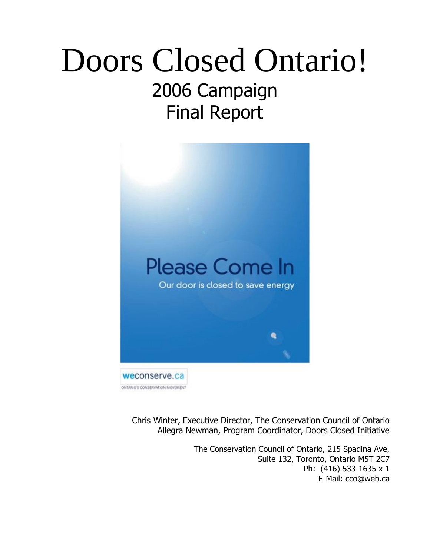# Doors Closed Ontario! 2006 Campaign Final Report



Chris Winter, Executive Director, The Conservation Council of Ontario Allegra Newman, Program Coordinator, Doors Closed Initiative

> The Conservation Council of Ontario, 215 Spadina Ave, Suite 132, Toronto, Ontario M5T 2C7 Ph: (416) 533-1635 x 1 E-Mail: cco@web.ca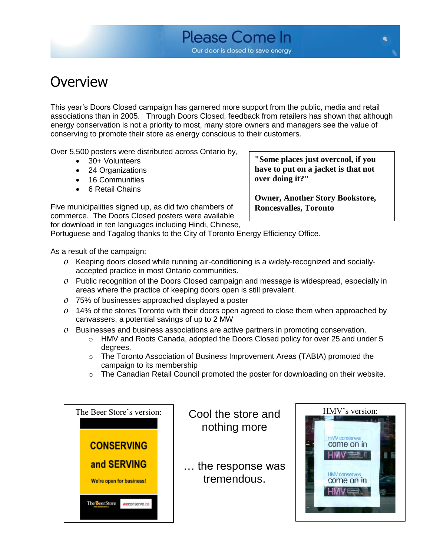### **Overview**

This year's Doors Closed campaign has garnered more support from the public, media and retail associations than in 2005. Through Doors Closed, feedback from retailers has shown that although energy conservation is not a priority to most, many store owners and managers see the value of conserving to promote their store as energy conscious to their customers.

Over 5,500 posters were distributed across Ontario by,

- 30+ Volunteers
- 24 Organizations
- 16 Communities
- 6 Retail Chains

Five municipalities signed up, as did two chambers of commerce. The Doors Closed posters were available for download in ten languages including Hindi, Chinese,

**"Some places just overcool, if you have to put on a jacket is that not over doing it?"**

**Owner, Another Story Bookstore, Roncesvalles, Toronto**

Portuguese and Tagalog thanks to the City of Toronto Energy Efficiency Office.

As a result of the campaign:

- *o* Keeping doors closed while running air-conditioning is a widely-recognized and sociallyaccepted practice in most Ontario communities.
- *o* Public recognition of the Doors Closed campaign and message is widespread, especially in areas where the practice of keeping doors open is still prevalent.
- *o* 75% of businesses approached displayed a poster
- *o* 14% of the stores Toronto with their doors open agreed to close them when approached by canvassers, a potential savings of up to 2 MW
- *o* Businesses and business associations are active partners in promoting conservation.
	- o HMV and Roots Canada, adopted the Doors Closed policy for over 25 and under 5 degrees.
	- o The Toronto Association of Business Improvement Areas (TABIA) promoted the campaign to its membership
	- $\circ$  The Canadian Retail Council promoted the poster for downloading on their website.



nothing more

… the response was tremendous.

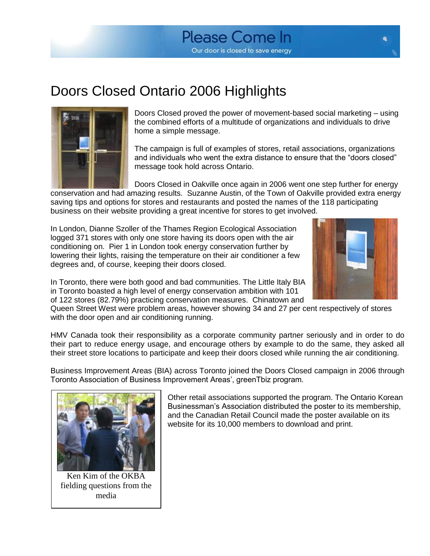

### Doors Closed Ontario 2006 Highlights



Doors Closed proved the power of movement-based social marketing – using the combined efforts of a multitude of organizations and individuals to drive home a simple message.

The campaign is full of examples of stores, retail associations, organizations and individuals who went the extra distance to ensure that the "doors closed" message took hold across Ontario.

Doors Closed in Oakville once again in 2006 went one step further for energy conservation and had amazing results. Suzanne Austin, of the Town of Oakville provided extra energy saving tips and options for stores and restaurants and posted the names of the 118 participating business on their website providing a great incentive for stores to get involved.

In London, Dianne Szoller of the Thames Region Ecological Association logged 371 stores with only one store having its doors open with the air conditioning on. Pier 1 in London took energy conservation further by lowering their lights, raising the temperature on their air conditioner a few degrees and, of course, keeping their doors closed.



In Toronto, there were both good and bad communities. The Little Italy BIA in Toronto boasted a high level of energy conservation ambition with 101 of 122 stores (82.79%) practicing conservation measures. Chinatown and

Queen Street West were problem areas, however showing 34 and 27 per cent respectively of stores with the door open and air conditioning running.

HMV Canada took their responsibility as a corporate community partner seriously and in order to do their part to reduce energy usage, and encourage others by example to do the same, they asked all their street store locations to participate and keep their doors closed while running the air conditioning.

Business Improvement Areas (BIA) across Toronto joined the Doors Closed campaign in 2006 through Toronto Association of Business Improvement Areas', greenTbiz program.



Ken Kim of the OKBA fielding questions from the media

Other retail associations supported the program. The Ontario Korean Businessman's Association distributed the poster to its membership, and the Canadian Retail Council made the poster available on its website for its 10,000 members to download and print.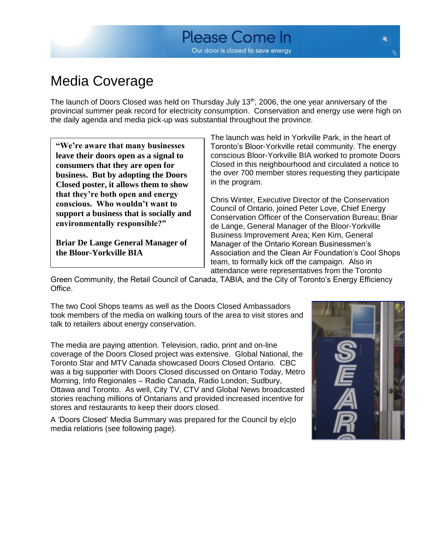### Media Coverage

The launch of Doors Closed was held on Thursday July 13<sup>th</sup>, 2006, the one year anniversary of the provincial summer peak record for electricity consumption. Conservation and energy use were high on the daily agenda and media pick-up was substantial throughout the province.

**"We're aware that many businesses leave their doors open as a signal to consumers that they are open for business. But by adopting the Doors Closed poster, it allows them to show that they're both open and energy conscious. Who wouldn't want to support a business that is socially and environmentally responsible?"** 

**Briar De Lange General Manager of the Bloor-Yorkville BIA**

The launch was held in Yorkville Park, in the heart of Toronto's Bloor-Yorkville retail community. The energy conscious Bloor-Yorkville BIA worked to promote Doors Closed in this neighbourhood and circulated a notice to the over 700 member stores requesting they participate in the program.

Chris Winter, Executive Director of the Conservation Council of Ontario, joined Peter Love, Chief Energy Conservation Officer of the Conservation Bureau; Briar de Lange, General Manager of the Bloor-Yorkville Business Improvement Area; Ken Kim, General Manager of the Ontario Korean Businessmen's Association and the Clean Air Foundation's Cool Shops team, to formally kick off the campaign. Also in attendance were representatives from the Toronto

Green Community, the Retail Council of Canada, TABIA, and the City of Toronto's Energy Efficiency Office.

The two Cool Shops teams as well as the Doors Closed Ambassadors took members of the media on walking tours of the area to visit stores and talk to retailers about energy conservation.

The media are paying attention. Television, radio, print and on-line coverage of the Doors Closed project was extensive. Global National, the Toronto Star and MTV Canada showcased Doors Closed Ontario. CBC was a big supporter with Doors Closed discussed on Ontario Today, Metro Morning, Info Regionales – Radio Canada, Radio London, Sudbury, Ottawa and Toronto. As well, City TV, CTV and Global News broadcasted stories reaching millions of Ontarians and provided increased incentive for stores and restaurants to keep their doors closed.

A 'Doors Closed' Media Summary was prepared for the Council by e|c|o media relations (see following page).

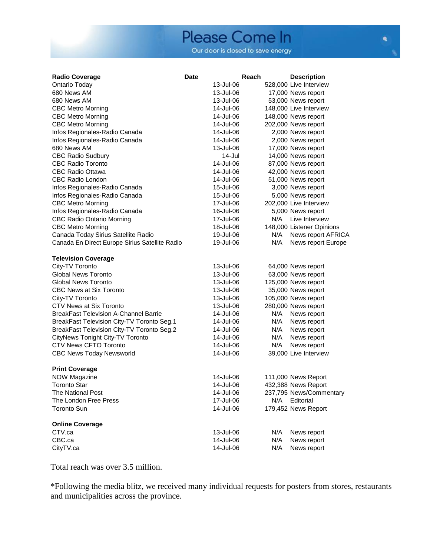### Please Come In Our door is closed to save energy

| <b>Radio Coverage</b>                          | Date | Reach     |     | <b>Description</b>        |
|------------------------------------------------|------|-----------|-----|---------------------------|
| Ontario Today                                  |      | 13-Jul-06 |     | 528,000 Live Interview    |
| 680 News AM                                    |      | 13-Jul-06 |     | 17,000 News report        |
| 680 News AM                                    |      | 13-Jul-06 |     | 53,000 News report        |
| <b>CBC Metro Morning</b>                       |      | 14-Jul-06 |     | 148,000 Live Interview    |
| <b>CBC Metro Morning</b>                       |      | 14-Jul-06 |     | 148,000 News report       |
| <b>CBC Metro Morning</b>                       |      | 14-Jul-06 |     | 202,000 News report       |
| Infos Regionales-Radio Canada                  |      | 14-Jul-06 |     | 2,000 News report         |
| Infos Regionales-Radio Canada                  |      | 14-Jul-06 |     | 2,000 News report         |
| 680 News AM                                    |      | 13-Jul-06 |     | 17,000 News report        |
| <b>CBC Radio Sudbury</b>                       |      | 14-Jul    |     | 14,000 News report        |
| <b>CBC Radio Toronto</b>                       |      | 14-Jul-06 |     | 87,000 News report        |
| CBC Radio Ottawa                               |      | 14-Jul-06 |     | 42,000 News report        |
| <b>CBC Radio London</b>                        |      | 14-Jul-06 |     | 51,000 News report        |
| Infos Regionales-Radio Canada                  |      | 15-Jul-06 |     | 3,000 News report         |
| Infos Regionales-Radio Canada                  |      | 15-Jul-06 |     | 5,000 News report         |
| <b>CBC Metro Morning</b>                       |      | 17-Jul-06 |     | 202,000 Live Interview    |
| Infos Regionales-Radio Canada                  |      | 16-Jul-06 |     | 5,000 News report         |
| <b>CBC Radio Ontario Morning</b>               |      | 17-Jul-06 | N/A | Live Interview            |
| <b>CBC Metro Morning</b>                       |      | 18-Jul-06 |     | 148,000 Listener Opinions |
| Canada Today Sirius Satellite Radio            |      | 19-Jul-06 | N/A | News report AFRICA        |
| Canada En Direct Europe Sirius Satellite Radio |      | 19-Jul-06 | N/A | News report Europe        |
|                                                |      |           |     |                           |
| <b>Television Coverage</b>                     |      |           |     |                           |
| City-TV Toronto                                |      | 13-Jul-06 |     | 64,000 News report        |
| <b>Global News Toronto</b>                     |      | 13-Jul-06 |     | 63,000 News report        |
| <b>Global News Toronto</b>                     |      | 13-Jul-06 |     | 125,000 News report       |
| <b>CBC News at Six Toronto</b>                 |      | 13-Jul-06 |     | 35,000 News report        |
| City-TV Toronto                                |      | 13-Jul-06 |     | 105,000 News report       |
| CTV News at Six Toronto                        |      | 13-Jul-06 |     | 280,000 News report       |
| <b>BreakFast Television A-Channel Barrie</b>   |      | 14-Jul-06 | N/A | News report               |
| BreakFast Television City-TV Toronto Seg.1     |      | 14-Jul-06 | N/A | News report               |
| BreakFast Television City-TV Toronto Seg.2     |      | 14-Jul-06 | N/A | News report               |
| CityNews Tonight City-TV Toronto               |      | 14-Jul-06 | N/A | News report               |
| <b>CTV News CFTO Toronto</b>                   |      | 14-Jul-06 | N/A | News report               |
| <b>CBC News Today Newsworld</b>                |      | 14-Jul-06 |     | 39,000 Live Interview     |
|                                                |      |           |     |                           |
| <b>Print Coverage</b>                          |      |           |     |                           |
| <b>NOW Magazine</b>                            |      | 14-Jul-06 |     | 111,000 News Report       |
| Toronto Star                                   |      | 14-Jul-06 |     | 432,388 News Report       |
| The National Post                              |      | 14-Jul-06 |     | 237,795 News/Commentary   |
| The London Free Press                          |      | 17-Jul-06 | N/A | Editorial                 |
| <b>Toronto Sun</b>                             |      | 14-Jul-06 |     | 179,452 News Report       |
| <b>Online Coverage</b>                         |      |           |     |                           |
| CTV.ca                                         |      | 13-Jul-06 | N/A | News report               |
| CBC.ca                                         |      | 14-Jul-06 | N/A | News report               |
| CityTV.ca                                      |      | 14-Jul-06 | N/A | News report               |
|                                                |      |           |     |                           |

Total reach was over 3.5 million.

\*Following the media blitz, we received many individual requests for posters from stores, restaurants and municipalities across the province.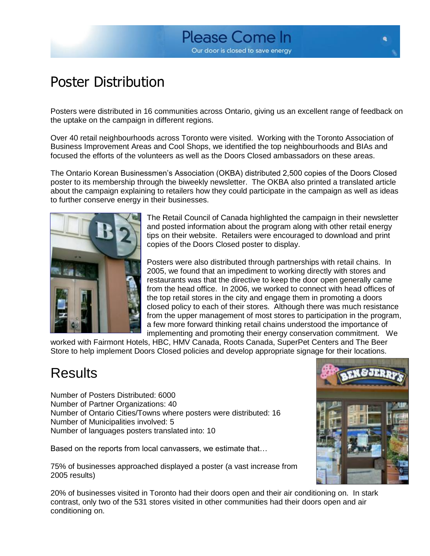## Poster Distribution

Posters were distributed in 16 communities across Ontario, giving us an excellent range of feedback on the uptake on the campaign in different regions.

Over 40 retail neighbourhoods across Toronto were visited. Working with the Toronto Association of Business Improvement Areas and Cool Shops, we identified the top neighbourhoods and BIAs and focused the efforts of the volunteers as well as the Doors Closed ambassadors on these areas.

The Ontario Korean Businessmen's Association (OKBA) distributed 2,500 copies of the Doors Closed poster to its membership through the biweekly newsletter. The OKBA also printed a translated article about the campaign explaining to retailers how they could participate in the campaign as well as ideas to further conserve energy in their businesses.



The Retail Council of Canada highlighted the campaign in their newsletter and posted information about the program along with other retail energy tips on their website. Retailers were encouraged to download and print copies of the Doors Closed poster to display.

Posters were also distributed through partnerships with retail chains. In 2005, we found that an impediment to working directly with stores and restaurants was that the directive to keep the door open generally came from the head office. In 2006, we worked to connect with head offices of the top retail stores in the city and engage them in promoting a doors closed policy to each of their stores. Although there was much resistance from the upper management of most stores to participation in the program, a few more forward thinking retail chains understood the importance of implementing and promoting their energy conservation commitment. We

worked with Fairmont Hotels, HBC, HMV Canada, Roots Canada, SuperPet Centers and The Beer Store to help implement Doors Closed policies and develop appropriate signage for their locations.

### Results

Number of Posters Distributed: 6000 Number of Partner Organizations: 40 Number of Ontario Cities/Towns where posters were distributed: 16 Number of Municipalities involved: 5 Number of languages posters translated into: 10

Based on the reports from local canvassers, we estimate that…

75% of businesses approached displayed a poster (a vast increase from 2005 results)

20% of businesses visited in Toronto had their doors open and their air conditioning on. In stark contrast, only two of the 531 stores visited in other communities had their doors open and air conditioning on.

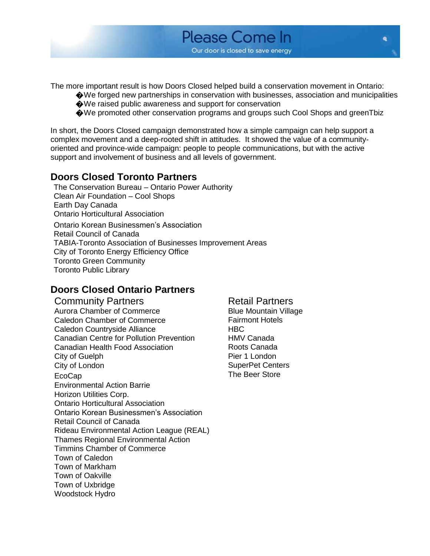

The more important result is how Doors Closed helped build a conservation movement in Ontario:

- �We forged new partnerships in conservation with businesses, association and municipalities �We raised public awareness and support for conservation
- �We promoted other conservation programs and groups such Cool Shops and greenTbiz

In short, the Doors Closed campaign demonstrated how a simple campaign can help support a complex movement and a deep-rooted shift in attitudes. It showed the value of a communityoriented and province-wide campaign: people to people communications, but with the active support and involvement of business and all levels of government.

### **Doors Closed Toronto Partners**

The Conservation Bureau – Ontario Power Authority Clean Air Foundation – Cool Shops Earth Day Canada Ontario Horticultural Association Ontario Korean Businessmen's Association Retail Council of Canada TABIA-Toronto Association of Businesses Improvement Areas City of Toronto Energy Efficiency Office Toronto Green Community Toronto Public Library

### **Doors Closed Ontario Partners**

**Community Partners Retail Partners** Aurora Chamber of Commerce Blue Mountain Village Caledon Chamber of Commerce Fairmont Hotels Caledon Countryside Alliance HBC Canadian Centre for Pollution Prevention HMV Canada Canadian Health Food Association **Roots Canada** City of Guelph **Pier 1** London City of London SuperPet Centers EcoCap **The Beer Store** Environmental Action Barrie Horizon Utilities Corp. Ontario Horticultural Association Ontario Korean Businessmen's Association Retail Council of Canada Rideau Environmental Action League (REAL) Thames Regional Environmental Action Timmins Chamber of Commerce Town of Caledon Town of Markham Town of Oakville Town of Uxbridge Woodstock Hydro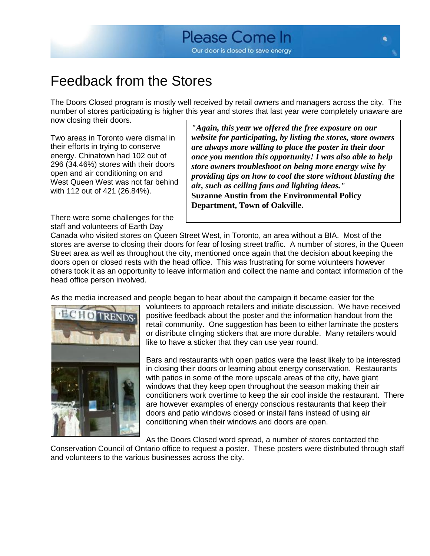### Feedback from the Stores

The Doors Closed program is mostly well received by retail owners and managers across the city. The number of stores participating is higher this year and stores that last year were completely unaware are now closing their doors.

Two areas in Toronto were dismal in their efforts in trying to conserve energy. Chinatown had 102 out of 296 (34.46%) stores with their doors open and air conditioning on and West Queen West was not far behind with 112 out of 421 (26.84%).

There were some challenges for the staff and volunteers of Earth Day

*"Again, this year we offered the free exposure on our website for participating, by listing the stores, store owners are always more willing to place the poster in their door once you mention this opportunity! I was also able to help store owners troubleshoot on being more energy wise by providing tips on how to cool the store without blasting the air, such as ceiling fans and lighting ideas."* **Suzanne Austin from the Environmental Policy Department, Town of Oakville.**

Canada who visited stores on Queen Street West, in Toronto, an area without a BIA. Most of the stores are averse to closing their doors for fear of losing street traffic. A number of stores, in the Queen Street area as well as throughout the city, mentioned once again that the decision about keeping the doors open or closed rests with the head office. This was frustrating for some volunteers however others took it as an opportunity to leave information and collect the name and contact information of the head office person involved.

As the media increased and people began to hear about the campaign it became easier for the



volunteers to approach retailers and initiate discussion. We have received positive feedback about the poster and the information handout from the retail community. One suggestion has been to either laminate the posters or distribute clinging stickers that are more durable. Many retailers would like to have a sticker that they can use year round.

Bars and restaurants with open patios were the least likely to be interested in closing their doors or learning about energy conservation. Restaurants with patios in some of the more upscale areas of the city, have giant windows that they keep open throughout the season making their air conditioners work overtime to keep the air cool inside the restaurant. There are however examples of energy conscious restaurants that keep their doors and patio windows closed or install fans instead of using air conditioning when their windows and doors are open.

As the Doors Closed word spread, a number of stores contacted the

Conservation Council of Ontario office to request a poster. These posters were distributed through staff and volunteers to the various businesses across the city.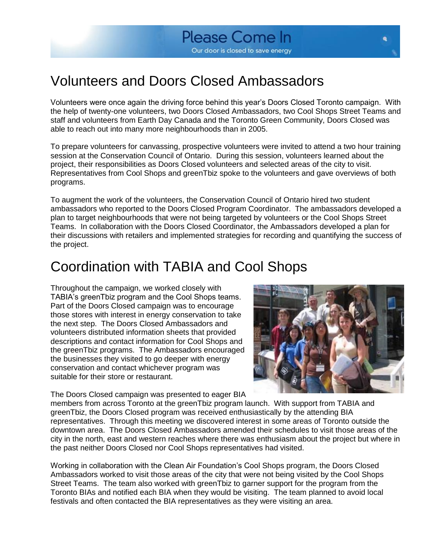### Volunteers and Doors Closed Ambassadors

Volunteers were once again the driving force behind this year's Doors Closed Toronto campaign. With the help of twenty-one volunteers, two Doors Closed Ambassadors, two Cool Shops Street Teams and staff and volunteers from Earth Day Canada and the Toronto Green Community, Doors Closed was able to reach out into many more neighbourhoods than in 2005.

To prepare volunteers for canvassing, prospective volunteers were invited to attend a two hour training session at the Conservation Council of Ontario. During this session, volunteers learned about the project, their responsibilities as Doors Closed volunteers and selected areas of the city to visit. Representatives from Cool Shops and greenTbiz spoke to the volunteers and gave overviews of both programs.

To augment the work of the volunteers, the Conservation Council of Ontario hired two student ambassadors who reported to the Doors Closed Program Coordinator. The ambassadors developed a plan to target neighbourhoods that were not being targeted by volunteers or the Cool Shops Street Teams. In collaboration with the Doors Closed Coordinator, the Ambassadors developed a plan for their discussions with retailers and implemented strategies for recording and quantifying the success of the project.

### Coordination with TABIA and Cool Shops

Throughout the campaign, we worked closely with TABIA's greenTbiz program and the Cool Shops teams. Part of the Doors Closed campaign was to encourage those stores with interest in energy conservation to take the next step. The Doors Closed Ambassadors and volunteers distributed information sheets that provided descriptions and contact information for Cool Shops and the greenTbiz programs. The Ambassadors encouraged the businesses they visited to go deeper with energy conservation and contact whichever program was suitable for their store or restaurant.

The Doors Closed campaign was presented to eager BIA



members from across Toronto at the greenTbiz program launch. With support from TABIA and greenTbiz, the Doors Closed program was received enthusiastically by the attending BIA representatives. Through this meeting we discovered interest in some areas of Toronto outside the downtown area. The Doors Closed Ambassadors amended their schedules to visit those areas of the city in the north, east and western reaches where there was enthusiasm about the project but where in the past neither Doors Closed nor Cool Shops representatives had visited.

Working in collaboration with the Clean Air Foundation's Cool Shops program, the Doors Closed Ambassadors worked to visit those areas of the city that were not being visited by the Cool Shops Street Teams. The team also worked with greenTbiz to garner support for the program from the Toronto BIAs and notified each BIA when they would be visiting. The team planned to avoid local festivals and often contacted the BIA representatives as they were visiting an area.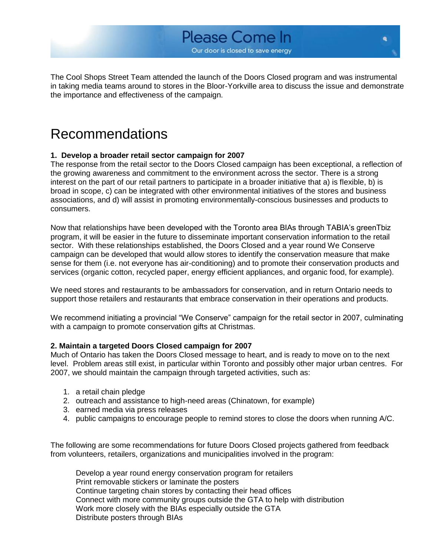

The Cool Shops Street Team attended the launch of the Doors Closed program and was instrumental in taking media teams around to stores in the Bloor-Yorkville area to discuss the issue and demonstrate the importance and effectiveness of the campaign.

### Recommendations

#### **1. Develop a broader retail sector campaign for 2007**

The response from the retail sector to the Doors Closed campaign has been exceptional, a reflection of the growing awareness and commitment to the environment across the sector. There is a strong interest on the part of our retail partners to participate in a broader initiative that a) is flexible, b) is broad in scope, c) can be integrated with other environmental initiatives of the stores and business associations, and d) will assist in promoting environmentally-conscious businesses and products to consumers.

Now that relationships have been developed with the Toronto area BIAs through TABIA's greenTbiz program, it will be easier in the future to disseminate important conservation information to the retail sector. With these relationships established, the Doors Closed and a year round We Conserve campaign can be developed that would allow stores to identify the conservation measure that make sense for them (i.e. not everyone has air-conditioning) and to promote their conservation products and services (organic cotton, recycled paper, energy efficient appliances, and organic food, for example).

We need stores and restaurants to be ambassadors for conservation, and in return Ontario needs to support those retailers and restaurants that embrace conservation in their operations and products.

We recommend initiating a provincial "We Conserve" campaign for the retail sector in 2007, culminating with a campaign to promote conservation gifts at Christmas.

#### **2. Maintain a targeted Doors Closed campaign for 2007**

Much of Ontario has taken the Doors Closed message to heart, and is ready to move on to the next level. Problem areas still exist, in particular within Toronto and possibly other major urban centres. For 2007, we should maintain the campaign through targeted activities, such as:

- 1. a retail chain pledge
- 2. outreach and assistance to high-need areas (Chinatown, for example)
- 3. earned media via press releases
- 4. public campaigns to encourage people to remind stores to close the doors when running A/C.

The following are some recommendations for future Doors Closed projects gathered from feedback from volunteers, retailers, organizations and municipalities involved in the program:

Develop a year round energy conservation program for retailers Print removable stickers or laminate the posters Continue targeting chain stores by contacting their head offices Connect with more community groups outside the GTA to help with distribution Work more closely with the BIAs especially outside the GTA Distribute posters through BIAs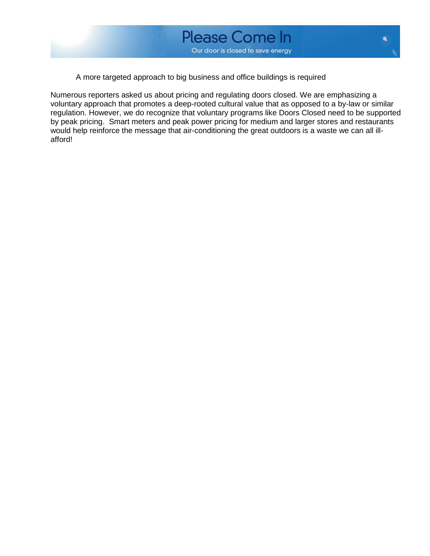

A more targeted approach to big business and office buildings is required

Numerous reporters asked us about pricing and regulating doors closed. We are emphasizing a voluntary approach that promotes a deep-rooted cultural value that as opposed to a by-law or similar regulation. However, we do recognize that voluntary programs like Doors Closed need to be supported by peak pricing. Smart meters and peak power pricing for medium and larger stores and restaurants would help reinforce the message that air-conditioning the great outdoors is a waste we can all illafford!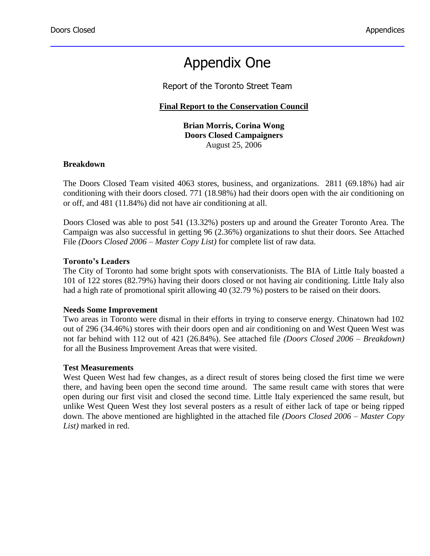### Appendix One

Report of the Toronto Street Team

#### **Final Report to the Conservation Council**

**Brian Morris, Corina Wong Doors Closed Campaigners** August 25, 2006

#### **Breakdown**

The Doors Closed Team visited 4063 stores, business, and organizations. 2811 (69.18%) had air conditioning with their doors closed. 771 (18.98%) had their doors open with the air conditioning on or off, and 481 (11.84%) did not have air conditioning at all.

Doors Closed was able to post 541 (13.32%) posters up and around the Greater Toronto Area. The Campaign was also successful in getting 96 (2.36%) organizations to shut their doors. See Attached File *(Doors Closed 2006 – Master Copy List)* for complete list of raw data.

#### **Toronto's Leaders**

The City of Toronto had some bright spots with conservationists. The BIA of Little Italy boasted a 101 of 122 stores (82.79%) having their doors closed or not having air conditioning. Little Italy also had a high rate of promotional spirit allowing 40 (32.79 %) posters to be raised on their doors.

#### **Needs Some Improvement**

Two areas in Toronto were dismal in their efforts in trying to conserve energy. Chinatown had 102 out of 296 (34.46%) stores with their doors open and air conditioning on and West Queen West was not far behind with 112 out of 421 (26.84%). See attached file *(Doors Closed 2006 – Breakdown)* for all the Business Improvement Areas that were visited.

#### **Test Measurements**

West Queen West had few changes, as a direct result of stores being closed the first time we were there, and having been open the second time around. The same result came with stores that were open during our first visit and closed the second time. Little Italy experienced the same result, but unlike West Queen West they lost several posters as a result of either lack of tape or being ripped down. The above mentioned are highlighted in the attached file *(Doors Closed 2006 – Master Copy List)* marked in red.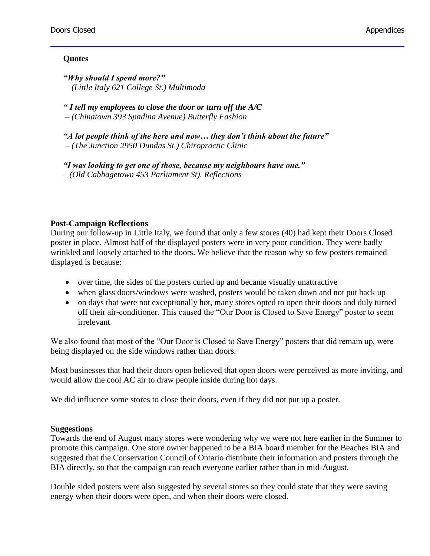#### **Quotes**

*"Why should I spend more?" – (Little Italy 621 College St.) Multimoda*

*" I tell my employees to close the door or turn off the A/C – (Chinatown 393 Spadina Avenue) Butterfly Fashion*

*"A lot people think of the here and now… they don't think about the future" – (The Junction 2950 Dundas St.) Chiropractic Clinic*

*"I was looking to get one of those, because my neighbours have one." – (Old Cabbagetown 453 Parliament St). Reflections*

#### **Post-Campaign Reflections**

During our follow-up in Little Italy, we found that only a few stores (40) had kept their Doors Closed poster in place. Almost half of the displayed posters were in very poor condition. They were badly wrinkled and loosely attached to the doors. We believe that the reason why so few posters remained displayed is because:

- over time, the sides of the posters curled up and became visually unattractive
- when glass doors/windows were washed, posters would be taken down and not put back up
- on days that were not exceptionally hot, many stores opted to open their doors and duly turned off their air-conditioner. This caused the "Our Door is Closed to Save Energy" poster to seem irrelevant

We also found that most of the "Our Door is Closed to Save Energy" posters that did remain up, were being displayed on the side windows rather than doors.

Most businesses that had their doors open believed that open doors were perceived as more inviting, and would allow the cool AC air to draw people inside during hot days.

We did influence some stores to close their doors, even if they did not put up a poster.

#### **Suggestions**

Towards the end of August many stores were wondering why we were not here earlier in the Summer to promote this campaign. One store owner happened to be a BIA board member for the Beaches BIA and suggested that the Conservation Council of Ontario distribute their information and posters through the BIA directly, so that the campaign can reach everyone earlier rather than in mid-August.

Double sided posters were also suggested by several stores so they could state that they were saving energy when their doors were open, and when their doors were closed.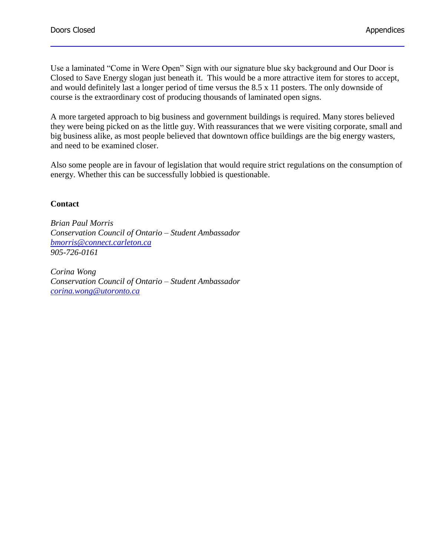Use a laminated "Come in Were Open" Sign with our signature blue sky background and Our Door is Closed to Save Energy slogan just beneath it. This would be a more attractive item for stores to accept, and would definitely last a longer period of time versus the 8.5 x 11 posters. The only downside of course is the extraordinary cost of producing thousands of laminated open signs.

A more targeted approach to big business and government buildings is required. Many stores believed they were being picked on as the little guy. With reassurances that we were visiting corporate, small and big business alike, as most people believed that downtown office buildings are the big energy wasters, and need to be examined closer.

Also some people are in favour of legislation that would require strict regulations on the consumption of energy. Whether this can be successfully lobbied is questionable.

#### **Contact**

*Brian Paul Morris Conservation Council of Ontario – Student Ambassador [bmorris@connect.carleton.ca](mailto:Bmorris@connect.carleton.ca) 905-726-0161*

*Corina Wong Conservation Council of Ontario – Student Ambassador [corina.wong@utoronto.ca](mailto:corina.wong@utoronto.ca)*